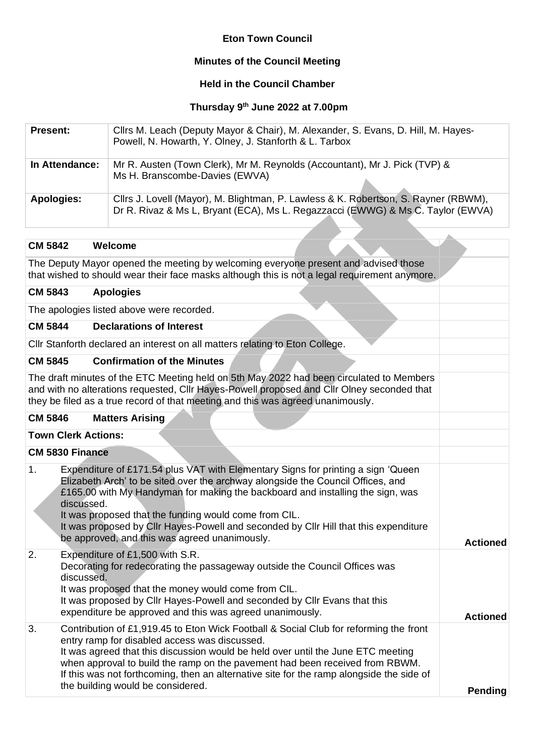# **Eton Town Council**

# **Minutes of the Council Meeting**

# **Held in the Council Chamber**

#### **Thursday 9 th June 2022 at 7.00pm**

| <b>Present:</b> | Cllrs M. Leach (Deputy Mayor & Chair), M. Alexander, S. Evans, D. Hill, M. Hayes-<br>Powell, N. Howarth, Y. Olney, J. Stanforth & L. Tarbox                            |
|-----------------|------------------------------------------------------------------------------------------------------------------------------------------------------------------------|
| In Attendance:  | Mr R. Austen (Town Clerk), Mr M. Reynolds (Accountant), Mr J. Pick (TVP) &<br>Ms H. Branscombe-Davies (EWVA)                                                           |
| Apologies:      | Clirs J. Lovell (Mayor), M. Blightman, P. Lawless & K. Robertson, S. Rayner (RBWM),<br>Dr R. Rivaz & Ms L, Bryant (ECA), Ms L. Regazzacci (EWWG) & Ms C. Taylor (EWVA) |

#### **CM 5842 Welcome**

The Deputy Mayor opened the meeting by welcoming everyone present and advised those that wished to should wear their face masks although this is not a legal requirement anymore.

#### **CM 5843 Apologies**

The apologies listed above were recorded.

#### **CM 5844 Declarations of Interest**

Cllr Stanforth declared an interest on all matters relating to Eton College.

## **CM 5845 Confirmation of the Minutes**

The draft minutes of the ETC Meeting held on 5th May 2022 had been circulated to Members and with no alterations requested, Cllr Hayes-Powell proposed and Cllr Olney seconded that they be filed as a true record of that meeting and this was agreed unanimously.

# **CM 5846 Matters Arising**

## **Town Clerk Actions:**

**CM 5830 Finance**

| 1. | Expenditure of £171.54 plus VAT with Elementary Signs for printing a sign 'Queen<br>Elizabeth Arch' to be sited over the archway alongside the Council Offices, and<br>£165.00 with My Handyman for making the backboard and installing the sign, was<br>discussed.<br>It was proposed that the funding would come from CIL.<br>It was proposed by CIIr Hayes-Powell and seconded by CIIr Hill that this expenditure<br>be approved, and this was agreed unanimously. | <b>Actioned</b> |
|----|-----------------------------------------------------------------------------------------------------------------------------------------------------------------------------------------------------------------------------------------------------------------------------------------------------------------------------------------------------------------------------------------------------------------------------------------------------------------------|-----------------|
| 2. | Expenditure of £1,500 with S.R.<br>Decorating for redecorating the passageway outside the Council Offices was<br>discussed.<br>It was proposed that the money would come from CIL.<br>It was proposed by CIIr Hayes-Powell and seconded by CIIr Evans that this<br>expenditure be approved and this was agreed unanimously.                                                                                                                                           | <b>Actioned</b> |
| 3. | Contribution of £1,919.45 to Eton Wick Football & Social Club for reforming the front<br>entry ramp for disabled access was discussed.<br>It was agreed that this discussion would be held over until the June ETC meeting<br>when approval to build the ramp on the pavement had been received from RBWM.<br>If this was not forthcoming, then an alternative site for the ramp alongside the side of<br>the building would be considered.                           | <b>Pending</b>  |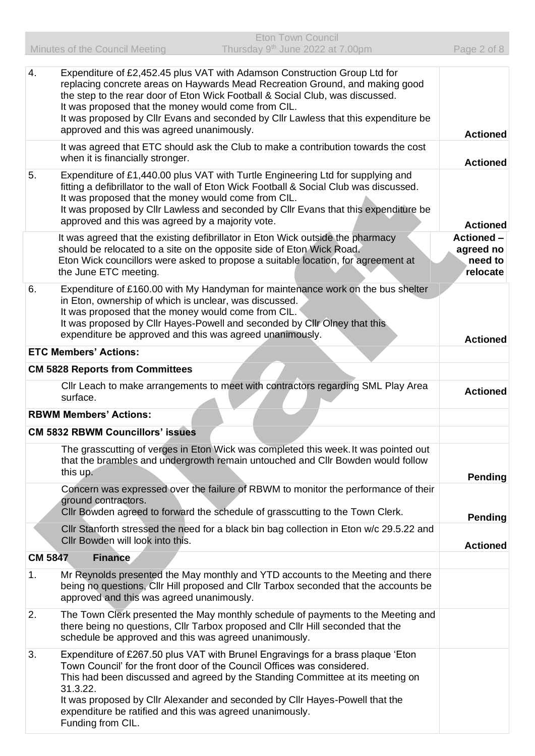| 4.             | Expenditure of £2,452.45 plus VAT with Adamson Construction Group Ltd for<br>replacing concrete areas on Haywards Mead Recreation Ground, and making good<br>the step to the rear door of Eton Wick Football & Social Club, was discussed.<br>It was proposed that the money would come from CIL.<br>It was proposed by Cllr Evans and seconded by Cllr Lawless that this expenditure be<br>approved and this was agreed unanimously. |                                                       |
|----------------|---------------------------------------------------------------------------------------------------------------------------------------------------------------------------------------------------------------------------------------------------------------------------------------------------------------------------------------------------------------------------------------------------------------------------------------|-------------------------------------------------------|
|                | It was agreed that ETC should ask the Club to make a contribution towards the cost<br>when it is financially stronger.                                                                                                                                                                                                                                                                                                                | <b>Actioned</b><br><b>Actioned</b>                    |
| 5.             | Expenditure of £1,440.00 plus VAT with Turtle Engineering Ltd for supplying and<br>fitting a defibrillator to the wall of Eton Wick Football & Social Club was discussed.<br>It was proposed that the money would come from CIL.<br>It was proposed by Clir Lawless and seconded by Clir Evans that this expenditure be<br>approved and this was agreed by a majority vote.                                                           | <b>Actioned</b>                                       |
|                | It was agreed that the existing defibrillator in Eton Wick outside the pharmacy<br>should be relocated to a site on the opposite side of Eton Wick Road.<br>Eton Wick councillors were asked to propose a suitable location, for agreement at<br>the June ETC meeting.                                                                                                                                                                | <b>Actioned -</b><br>agreed no<br>need to<br>relocate |
| 6.             | Expenditure of £160.00 with My Handyman for maintenance work on the bus shelter<br>in Eton, ownership of which is unclear, was discussed.<br>It was proposed that the money would come from CIL.<br>It was proposed by Cllr Hayes-Powell and seconded by Cllr Olney that this<br>expenditure be approved and this was agreed unanimously.                                                                                             | <b>Actioned</b>                                       |
|                | <b>ETC Members' Actions:</b>                                                                                                                                                                                                                                                                                                                                                                                                          |                                                       |
|                | <b>CM 5828 Reports from Committees</b>                                                                                                                                                                                                                                                                                                                                                                                                |                                                       |
|                | Cllr Leach to make arrangements to meet with contractors regarding SML Play Area<br>surface.                                                                                                                                                                                                                                                                                                                                          | <b>Actioned</b>                                       |
|                | <b>RBWM Members' Actions:</b>                                                                                                                                                                                                                                                                                                                                                                                                         |                                                       |
|                | <b>CM 5832 RBWM Councillors' issues</b>                                                                                                                                                                                                                                                                                                                                                                                               |                                                       |
|                | The grasscutting of verges in Eton Wick was completed this week. It was pointed out<br>that the brambles and undergrowth remain untouched and CIIr Bowden would follow<br>this up.                                                                                                                                                                                                                                                    |                                                       |
|                | Concern was expressed over the failure of RBWM to monitor the performance of their<br>ground contractors.<br>Cllr Bowden agreed to forward the schedule of grasscutting to the Town Clerk.                                                                                                                                                                                                                                            | <b>Pending</b><br><b>Pending</b>                      |
|                | CIIr Stanforth stressed the need for a black bin bag collection in Eton w/c 29.5.22 and<br>Cllr Bowden will look into this.                                                                                                                                                                                                                                                                                                           | <b>Actioned</b>                                       |
| <b>CM 5847</b> | <b>Finance</b>                                                                                                                                                                                                                                                                                                                                                                                                                        |                                                       |
| 1.             | Mr Reynolds presented the May monthly and YTD accounts to the Meeting and there<br>being no questions, Cllr Hill proposed and Cllr Tarbox seconded that the accounts be<br>approved and this was agreed unanimously.                                                                                                                                                                                                                  |                                                       |
| 2.             | The Town Clerk presented the May monthly schedule of payments to the Meeting and<br>there being no questions, Cllr Tarbox proposed and Cllr Hill seconded that the<br>schedule be approved and this was agreed unanimously.                                                                                                                                                                                                           |                                                       |
| 3.             | Expenditure of £267.50 plus VAT with Brunel Engravings for a brass plaque 'Eton<br>Town Council' for the front door of the Council Offices was considered.<br>This had been discussed and agreed by the Standing Committee at its meeting on<br>31.3.22.<br>It was proposed by CIIr Alexander and seconded by CIIr Hayes-Powell that the<br>expenditure be ratified and this was agreed unanimously.                                  |                                                       |
|                | Funding from CIL.                                                                                                                                                                                                                                                                                                                                                                                                                     |                                                       |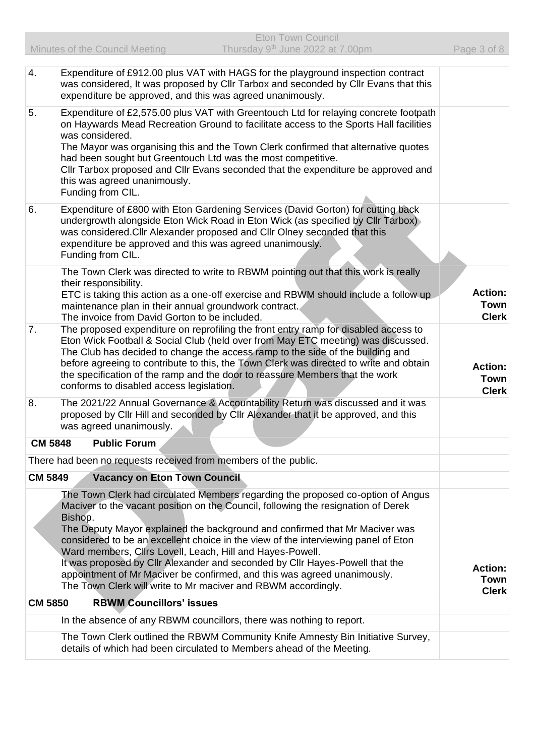| 4.             | Expenditure of £912.00 plus VAT with HAGS for the playground inspection contract<br>was considered, It was proposed by Cllr Tarbox and seconded by Cllr Evans that this<br>expenditure be approved, and this was agreed unanimously.                                                                                                                                                                                                                                                                                                                                                                                                           |                                        |
|----------------|------------------------------------------------------------------------------------------------------------------------------------------------------------------------------------------------------------------------------------------------------------------------------------------------------------------------------------------------------------------------------------------------------------------------------------------------------------------------------------------------------------------------------------------------------------------------------------------------------------------------------------------------|----------------------------------------|
| 5.             | Expenditure of £2,575.00 plus VAT with Greentouch Ltd for relaying concrete footpath<br>on Haywards Mead Recreation Ground to facilitate access to the Sports Hall facilities<br>was considered.<br>The Mayor was organising this and the Town Clerk confirmed that alternative quotes<br>had been sought but Greentouch Ltd was the most competitive.<br>Cllr Tarbox proposed and Cllr Evans seconded that the expenditure be approved and<br>this was agreed unanimously.<br>Funding from CIL.                                                                                                                                               |                                        |
| 6.             | Expenditure of £800 with Eton Gardening Services (David Gorton) for cutting back<br>undergrowth alongside Eton Wick Road in Eton Wick (as specified by Cllr Tarbox)<br>was considered. Cllr Alexander proposed and Cllr Olney seconded that this<br>expenditure be approved and this was agreed unanimously.<br>Funding from CIL.                                                                                                                                                                                                                                                                                                              |                                        |
|                | The Town Clerk was directed to write to RBWM pointing out that this work is really<br>their responsibility.<br>ETC is taking this action as a one-off exercise and RBWM should include a follow up<br>maintenance plan in their annual groundwork contract.<br>The invoice from David Gorton to be included.                                                                                                                                                                                                                                                                                                                                   | <b>Action:</b><br>Town<br><b>Clerk</b> |
| 7.             | The proposed expenditure on reprofiling the front entry ramp for disabled access to<br>Eton Wick Football & Social Club (held over from May ETC meeting) was discussed.<br>The Club has decided to change the access ramp to the side of the building and<br>before agreeing to contribute to this, the Town Clerk was directed to write and obtain<br>the specification of the ramp and the door to reassure Members that the work<br>conforms to disabled access legislation.                                                                                                                                                                | <b>Action:</b><br>Town<br><b>Clerk</b> |
| 8.             | The 2021/22 Annual Governance & Accountability Return was discussed and it was<br>proposed by CIIr Hill and seconded by CIIr Alexander that it be approved, and this<br>was agreed unanimously.                                                                                                                                                                                                                                                                                                                                                                                                                                                |                                        |
| <b>CM 5848</b> | <b>Public Forum</b>                                                                                                                                                                                                                                                                                                                                                                                                                                                                                                                                                                                                                            |                                        |
|                | There had been no requests received from members of the public.                                                                                                                                                                                                                                                                                                                                                                                                                                                                                                                                                                                |                                        |
| <b>CM 5849</b> | <b>Vacancy on Eton Town Council</b>                                                                                                                                                                                                                                                                                                                                                                                                                                                                                                                                                                                                            |                                        |
|                | The Town Clerk had circulated Members regarding the proposed co-option of Angus<br>Maciver to the vacant position on the Council, following the resignation of Derek<br>Bishop.<br>The Deputy Mayor explained the background and confirmed that Mr Maciver was<br>considered to be an excellent choice in the view of the interviewing panel of Eton<br>Ward members, Clirs Lovell, Leach, Hill and Hayes-Powell.<br>It was proposed by CIIr Alexander and seconded by CIIr Hayes-Powell that the<br>appointment of Mr Maciver be confirmed, and this was agreed unanimously.<br>The Town Clerk will write to Mr maciver and RBWM accordingly. | <b>Action:</b><br>Town<br><b>Clerk</b> |
| <b>CM 5850</b> | <b>RBWM Councillors' issues</b>                                                                                                                                                                                                                                                                                                                                                                                                                                                                                                                                                                                                                |                                        |
|                | In the absence of any RBWM councillors, there was nothing to report.                                                                                                                                                                                                                                                                                                                                                                                                                                                                                                                                                                           |                                        |
|                | The Town Clerk outlined the RBWM Community Knife Amnesty Bin Initiative Survey,<br>details of which had been circulated to Members ahead of the Meeting.                                                                                                                                                                                                                                                                                                                                                                                                                                                                                       |                                        |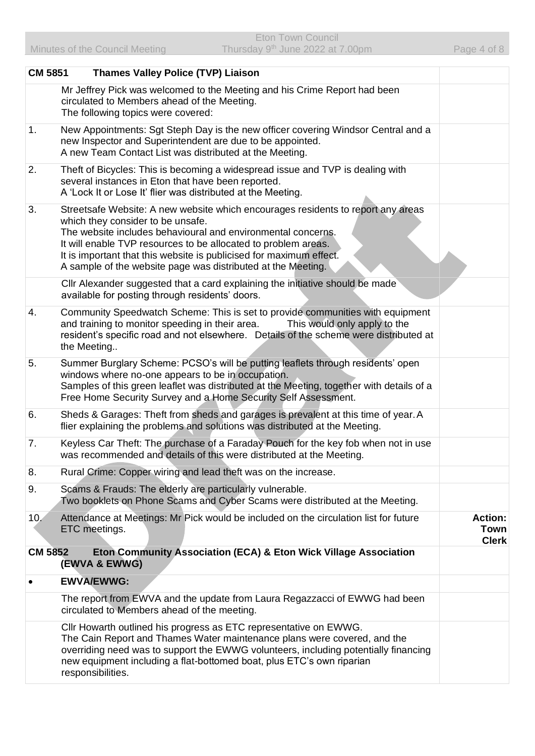| <b>CM 5851</b> | <b>Thames Valley Police (TVP) Liaison</b>                                                                                                                                                                                                                                                                                                                                                      |                                               |
|----------------|------------------------------------------------------------------------------------------------------------------------------------------------------------------------------------------------------------------------------------------------------------------------------------------------------------------------------------------------------------------------------------------------|-----------------------------------------------|
|                | Mr Jeffrey Pick was welcomed to the Meeting and his Crime Report had been<br>circulated to Members ahead of the Meeting.<br>The following topics were covered:                                                                                                                                                                                                                                 |                                               |
| 1.             | New Appointments: Sgt Steph Day is the new officer covering Windsor Central and a<br>new Inspector and Superintendent are due to be appointed.<br>A new Team Contact List was distributed at the Meeting.                                                                                                                                                                                      |                                               |
| 2.             | Theft of Bicycles: This is becoming a widespread issue and TVP is dealing with<br>several instances in Eton that have been reported.<br>A 'Lock It or Lose It' flier was distributed at the Meeting.                                                                                                                                                                                           |                                               |
| 3.             | Streetsafe Website: A new website which encourages residents to report any areas<br>which they consider to be unsafe.<br>The website includes behavioural and environmental concerns.<br>It will enable TVP resources to be allocated to problem areas.<br>It is important that this website is publicised for maximum effect.<br>A sample of the website page was distributed at the Meeting. |                                               |
|                | CIIr Alexander suggested that a card explaining the initiative should be made<br>available for posting through residents' doors.                                                                                                                                                                                                                                                               |                                               |
| 4.             | Community Speedwatch Scheme: This is set to provide communities with equipment<br>This would only apply to the<br>and training to monitor speeding in their area.<br>resident's specific road and not elsewhere. Details of the scheme were distributed at<br>the Meeting                                                                                                                      |                                               |
| 5.             | Summer Burglary Scheme: PCSO's will be putting leaflets through residents' open<br>windows where no-one appears to be in occupation.<br>Samples of this green leaflet was distributed at the Meeting, together with details of a<br>Free Home Security Survey and a Home Security Self Assessment.                                                                                             |                                               |
| 6.             | Sheds & Garages: Theft from sheds and garages is prevalent at this time of year. A<br>flier explaining the problems and solutions was distributed at the Meeting.                                                                                                                                                                                                                              |                                               |
| 7.             | Keyless Car Theft: The purchase of a Faraday Pouch for the key fob when not in use<br>was recommended and details of this were distributed at the Meeting.                                                                                                                                                                                                                                     |                                               |
| 8.             | Rural Crime: Copper wiring and lead theft was on the increase.                                                                                                                                                                                                                                                                                                                                 |                                               |
| 9.             | Scams & Frauds: The elderly are particularly vulnerable.<br>Two booklets on Phone Scams and Cyber Scams were distributed at the Meeting.                                                                                                                                                                                                                                                       |                                               |
| 10.            | Attendance at Meetings: Mr Pick would be included on the circulation list for future<br>ETC meetings.                                                                                                                                                                                                                                                                                          | <b>Action:</b><br><b>Town</b><br><b>Clerk</b> |
| <b>CM 5852</b> | Eton Community Association (ECA) & Eton Wick Village Association<br>(EWVA & EWWG)                                                                                                                                                                                                                                                                                                              |                                               |
|                | <b>EWVA/EWWG:</b>                                                                                                                                                                                                                                                                                                                                                                              |                                               |
|                | The report from EWVA and the update from Laura Regazzacci of EWWG had been<br>circulated to Members ahead of the meeting.                                                                                                                                                                                                                                                                      |                                               |
|                | Cllr Howarth outlined his progress as ETC representative on EWWG.<br>The Cain Report and Thames Water maintenance plans were covered, and the<br>overriding need was to support the EWWG volunteers, including potentially financing<br>new equipment including a flat-bottomed boat, plus ETC's own riparian<br>responsibilities.                                                             |                                               |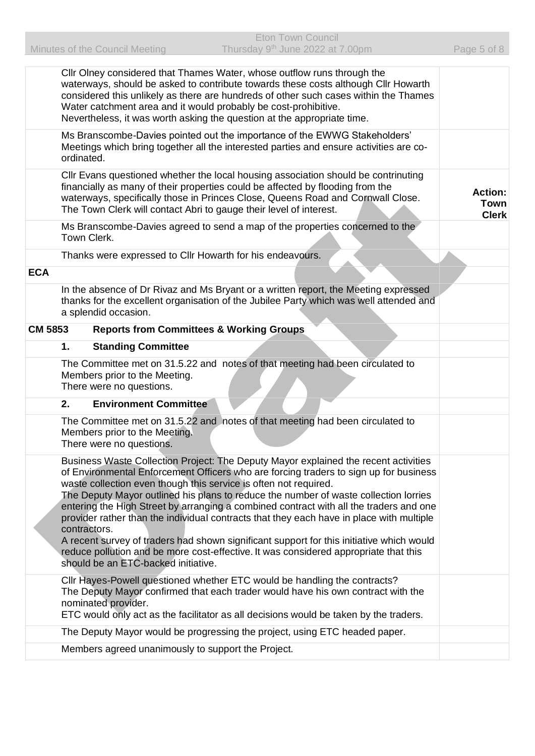|                |              | CIIr Olney considered that Thames Water, whose outflow runs through the<br>waterways, should be asked to contribute towards these costs although Cllr Howarth<br>considered this unlikely as there are hundreds of other such cases within the Thames<br>Water catchment area and it would probably be cost-prohibitive.<br>Nevertheless, it was worth asking the question at the appropriate time.                                                                                                                                                                                                                                                                                                                                                       |                                               |
|----------------|--------------|-----------------------------------------------------------------------------------------------------------------------------------------------------------------------------------------------------------------------------------------------------------------------------------------------------------------------------------------------------------------------------------------------------------------------------------------------------------------------------------------------------------------------------------------------------------------------------------------------------------------------------------------------------------------------------------------------------------------------------------------------------------|-----------------------------------------------|
|                | ordinated.   | Ms Branscombe-Davies pointed out the importance of the EWWG Stakeholders'<br>Meetings which bring together all the interested parties and ensure activities are co-                                                                                                                                                                                                                                                                                                                                                                                                                                                                                                                                                                                       |                                               |
|                |              | CIIr Evans questioned whether the local housing association should be contrinuting<br>financially as many of their properties could be affected by flooding from the<br>waterways, specifically those in Princes Close, Queens Road and Cornwall Close.<br>The Town Clerk will contact Abri to gauge their level of interest.                                                                                                                                                                                                                                                                                                                                                                                                                             | <b>Action:</b><br><b>Town</b><br><b>Clerk</b> |
|                |              | Ms Branscombe-Davies agreed to send a map of the properties concerned to the<br>Town Clerk.                                                                                                                                                                                                                                                                                                                                                                                                                                                                                                                                                                                                                                                               |                                               |
|                |              | Thanks were expressed to Cllr Howarth for his endeavours.                                                                                                                                                                                                                                                                                                                                                                                                                                                                                                                                                                                                                                                                                                 |                                               |
| <b>ECA</b>     |              |                                                                                                                                                                                                                                                                                                                                                                                                                                                                                                                                                                                                                                                                                                                                                           |                                               |
|                |              | In the absence of Dr Rivaz and Ms Bryant or a written report, the Meeting expressed<br>thanks for the excellent organisation of the Jubilee Party which was well attended and<br>a splendid occasion.                                                                                                                                                                                                                                                                                                                                                                                                                                                                                                                                                     |                                               |
| <b>CM 5853</b> |              | <b>Reports from Committees &amp; Working Groups</b>                                                                                                                                                                                                                                                                                                                                                                                                                                                                                                                                                                                                                                                                                                       |                                               |
|                | 1.           | <b>Standing Committee</b>                                                                                                                                                                                                                                                                                                                                                                                                                                                                                                                                                                                                                                                                                                                                 |                                               |
|                |              | The Committee met on 31.5.22 and notes of that meeting had been circulated to<br>Members prior to the Meeting.<br>There were no questions.                                                                                                                                                                                                                                                                                                                                                                                                                                                                                                                                                                                                                |                                               |
|                | 2.           | <b>Environment Committee</b>                                                                                                                                                                                                                                                                                                                                                                                                                                                                                                                                                                                                                                                                                                                              |                                               |
|                |              | The Committee met on 31.5.22 and notes of that meeting had been circulated to<br>Members prior to the Meeting.<br>There were no questions.                                                                                                                                                                                                                                                                                                                                                                                                                                                                                                                                                                                                                |                                               |
|                | contractors. | Business Waste Collection Project: The Deputy Mayor explained the recent activities<br>of Environmental Enforcement Officers who are forcing traders to sign up for business<br>waste collection even though this service is often not required.<br>The Deputy Mayor outlined his plans to reduce the number of waste collection lorries<br>entering the High Street by arranging a combined contract with all the traders and one<br>provider rather than the individual contracts that they each have in place with multiple<br>A recent survey of traders had shown significant support for this initiative which would<br>reduce pollution and be more cost-effective. It was considered appropriate that this<br>should be an ETC-backed initiative. |                                               |
|                |              | Cllr Hayes-Powell questioned whether ETC would be handling the contracts?<br>The Deputy Mayor confirmed that each trader would have his own contract with the<br>nominated provider.<br>ETC would only act as the facilitator as all decisions would be taken by the traders.                                                                                                                                                                                                                                                                                                                                                                                                                                                                             |                                               |
|                |              | The Deputy Mayor would be progressing the project, using ETC headed paper.                                                                                                                                                                                                                                                                                                                                                                                                                                                                                                                                                                                                                                                                                |                                               |
|                |              | Members agreed unanimously to support the Project.                                                                                                                                                                                                                                                                                                                                                                                                                                                                                                                                                                                                                                                                                                        |                                               |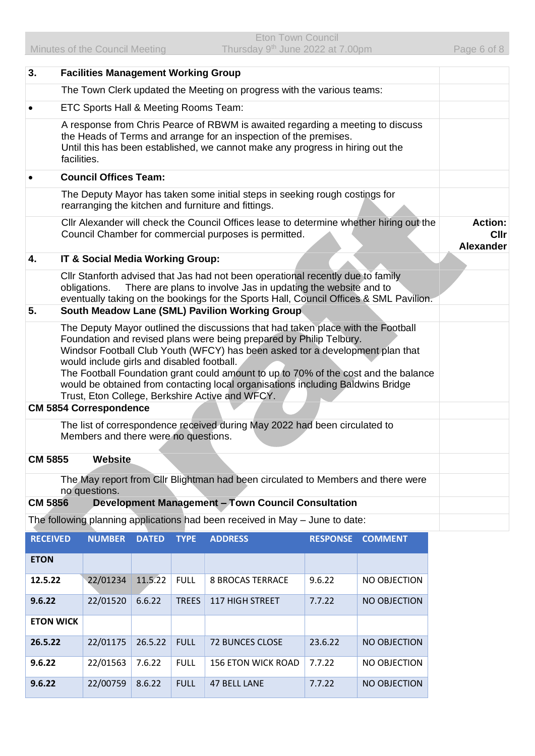| 3.                                                                                                                                                                                                                                                                                                                                                                                                                                                                                                                  | <b>Facilities Management Working Group</b>                                                                                         |              |              |                                                                                                                                                                                                                                            |                 |                |                                                   |
|---------------------------------------------------------------------------------------------------------------------------------------------------------------------------------------------------------------------------------------------------------------------------------------------------------------------------------------------------------------------------------------------------------------------------------------------------------------------------------------------------------------------|------------------------------------------------------------------------------------------------------------------------------------|--------------|--------------|--------------------------------------------------------------------------------------------------------------------------------------------------------------------------------------------------------------------------------------------|-----------------|----------------|---------------------------------------------------|
|                                                                                                                                                                                                                                                                                                                                                                                                                                                                                                                     | The Town Clerk updated the Meeting on progress with the various teams:                                                             |              |              |                                                                                                                                                                                                                                            |                 |                |                                                   |
|                                                                                                                                                                                                                                                                                                                                                                                                                                                                                                                     | ETC Sports Hall & Meeting Rooms Team:                                                                                              |              |              |                                                                                                                                                                                                                                            |                 |                |                                                   |
| A response from Chris Pearce of RBWM is awaited regarding a meeting to discuss<br>the Heads of Terms and arrange for an inspection of the premises.<br>Until this has been established, we cannot make any progress in hiring out the<br>facilities.                                                                                                                                                                                                                                                                |                                                                                                                                    |              |              |                                                                                                                                                                                                                                            |                 |                |                                                   |
|                                                                                                                                                                                                                                                                                                                                                                                                                                                                                                                     | <b>Council Offices Team:</b>                                                                                                       |              |              |                                                                                                                                                                                                                                            |                 |                |                                                   |
|                                                                                                                                                                                                                                                                                                                                                                                                                                                                                                                     | The Deputy Mayor has taken some initial steps in seeking rough costings for<br>rearranging the kitchen and furniture and fittings. |              |              |                                                                                                                                                                                                                                            |                 |                |                                                   |
|                                                                                                                                                                                                                                                                                                                                                                                                                                                                                                                     |                                                                                                                                    |              |              | CIIr Alexander will check the Council Offices lease to determine whether hiring out the<br>Council Chamber for commercial purposes is permitted.                                                                                           |                 |                | <b>Action:</b><br><b>Cllr</b><br><b>Alexander</b> |
| 4.                                                                                                                                                                                                                                                                                                                                                                                                                                                                                                                  | IT & Social Media Working Group:                                                                                                   |              |              |                                                                                                                                                                                                                                            |                 |                |                                                   |
|                                                                                                                                                                                                                                                                                                                                                                                                                                                                                                                     | obligations.                                                                                                                       |              |              | Cllr Stanforth advised that Jas had not been operational recently due to family<br>There are plans to involve Jas in updating the website and to<br>eventually taking on the bookings for the Sports Hall, Council Offices & SML Pavilion. |                 |                |                                                   |
| 5.                                                                                                                                                                                                                                                                                                                                                                                                                                                                                                                  |                                                                                                                                    |              |              | South Meadow Lane (SML) Pavilion Working Group                                                                                                                                                                                             |                 |                |                                                   |
| The Deputy Mayor outlined the discussions that had taken place with the Football<br>Foundation and revised plans were being prepared by Philip Telbury.<br>Windsor Football Club Youth (WFCY) has been asked tor a development plan that<br>would include girls and disabled football.<br>The Football Foundation grant could amount to up to 70% of the cost and the balance<br>would be obtained from contacting local organisations including Baldwins Bridge<br>Trust, Eton College, Berkshire Active and WFCY. |                                                                                                                                    |              |              |                                                                                                                                                                                                                                            |                 |                |                                                   |
| <b>CM 5854 Correspondence</b>                                                                                                                                                                                                                                                                                                                                                                                                                                                                                       |                                                                                                                                    |              |              |                                                                                                                                                                                                                                            |                 |                |                                                   |
|                                                                                                                                                                                                                                                                                                                                                                                                                                                                                                                     | Members and there were no questions.                                                                                               |              |              | The list of correspondence received during May 2022 had been circulated to                                                                                                                                                                 |                 |                |                                                   |
| <b>CM 5855</b><br>Website                                                                                                                                                                                                                                                                                                                                                                                                                                                                                           |                                                                                                                                    |              |              |                                                                                                                                                                                                                                            |                 |                |                                                   |
|                                                                                                                                                                                                                                                                                                                                                                                                                                                                                                                     | no questions.                                                                                                                      |              |              | The May report from Cllr Blightman had been circulated to Members and there were                                                                                                                                                           |                 |                |                                                   |
| <b>CM 5856</b>                                                                                                                                                                                                                                                                                                                                                                                                                                                                                                      |                                                                                                                                    |              |              | <b>Development Management - Town Council Consultation</b>                                                                                                                                                                                  |                 |                |                                                   |
|                                                                                                                                                                                                                                                                                                                                                                                                                                                                                                                     |                                                                                                                                    |              |              | The following planning applications had been received in May - June to date:                                                                                                                                                               |                 |                |                                                   |
| <b>RECEIVED</b>                                                                                                                                                                                                                                                                                                                                                                                                                                                                                                     | <b>NUMBER</b>                                                                                                                      | <b>DATED</b> | <b>TYPE</b>  | <b>ADDRESS</b>                                                                                                                                                                                                                             | <b>RESPONSE</b> | <b>COMMENT</b> |                                                   |
| <b>ETON</b>                                                                                                                                                                                                                                                                                                                                                                                                                                                                                                         |                                                                                                                                    |              |              |                                                                                                                                                                                                                                            |                 |                |                                                   |
| 12.5.22                                                                                                                                                                                                                                                                                                                                                                                                                                                                                                             | 22/01234                                                                                                                           | 11.5.22      | <b>FULL</b>  | <b>8 BROCAS TERRACE</b>                                                                                                                                                                                                                    | 9.6.22          | NO OBJECTION   |                                                   |
| 9.6.22                                                                                                                                                                                                                                                                                                                                                                                                                                                                                                              | 22/01520                                                                                                                           | 6.6.22       | <b>TREES</b> | 117 HIGH STREET                                                                                                                                                                                                                            | 7.7.22          | NO OBJECTION   |                                                   |
| <b>ETON WICK</b>                                                                                                                                                                                                                                                                                                                                                                                                                                                                                                    |                                                                                                                                    |              |              |                                                                                                                                                                                                                                            |                 |                |                                                   |
| 26.5.22                                                                                                                                                                                                                                                                                                                                                                                                                                                                                                             | 22/01175                                                                                                                           | 26.5.22      | <b>FULL</b>  | 72 BUNCES CLOSE                                                                                                                                                                                                                            | 23.6.22         | NO OBJECTION   |                                                   |
| 9.6.22                                                                                                                                                                                                                                                                                                                                                                                                                                                                                                              | 22/01563                                                                                                                           | 7.6.22       | <b>FULL</b>  | 156 ETON WICK ROAD                                                                                                                                                                                                                         | 7.7.22          | NO OBJECTION   |                                                   |

**9.6.22** 22/00759 8.6.22 FULL 47 BELL LANE 7.7.22 NO OBJECTION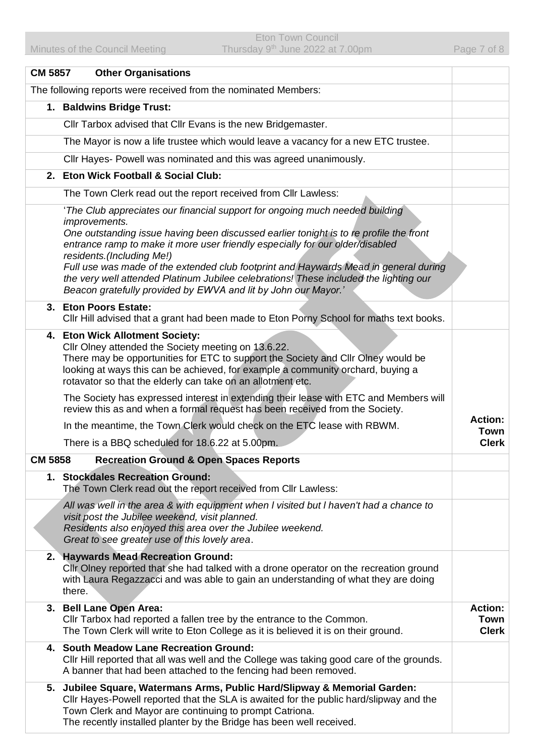| <b>CM 5857</b> | <b>Other Organisations</b>                                                                                                                                                                                                                                                                                                                                                                                                                                                                                                                                      |                                        |
|----------------|-----------------------------------------------------------------------------------------------------------------------------------------------------------------------------------------------------------------------------------------------------------------------------------------------------------------------------------------------------------------------------------------------------------------------------------------------------------------------------------------------------------------------------------------------------------------|----------------------------------------|
|                | The following reports were received from the nominated Members:                                                                                                                                                                                                                                                                                                                                                                                                                                                                                                 |                                        |
|                | 1. Baldwins Bridge Trust:                                                                                                                                                                                                                                                                                                                                                                                                                                                                                                                                       |                                        |
|                | Cllr Tarbox advised that Cllr Evans is the new Bridgemaster.                                                                                                                                                                                                                                                                                                                                                                                                                                                                                                    |                                        |
|                | The Mayor is now a life trustee which would leave a vacancy for a new ETC trustee.                                                                                                                                                                                                                                                                                                                                                                                                                                                                              |                                        |
|                | CIIr Hayes- Powell was nominated and this was agreed unanimously.                                                                                                                                                                                                                                                                                                                                                                                                                                                                                               |                                        |
|                | 2. Eton Wick Football & Social Club:                                                                                                                                                                                                                                                                                                                                                                                                                                                                                                                            |                                        |
|                | The Town Clerk read out the report received from Cllr Lawless:                                                                                                                                                                                                                                                                                                                                                                                                                                                                                                  |                                        |
|                | 'The Club appreciates our financial support for ongoing much needed building<br><i>improvements.</i><br>One outstanding issue having been discussed earlier tonight is to re profile the front<br>entrance ramp to make it more user friendly especially for our older/disabled<br>residents.(Including Me!)<br>Full use was made of the extended club footprint and Haywards Mead in general during<br>the very well attended Platinum Jubilee celebrations! These included the lighting our<br>Beacon gratefully provided by EWVA and lit by John our Mayor.' |                                        |
|                | 3. Eton Poors Estate:<br>CIIr Hill advised that a grant had been made to Eton Porny School for maths text books.                                                                                                                                                                                                                                                                                                                                                                                                                                                |                                        |
|                | 4. Eton Wick Allotment Society:<br>Cllr Olney attended the Society meeting on 13.6.22.<br>There may be opportunities for ETC to support the Society and Cllr Olney would be<br>looking at ways this can be achieved, for example a community orchard, buying a<br>rotavator so that the elderly can take on an allotment etc.                                                                                                                                                                                                                                   |                                        |
|                | The Society has expressed interest in extending their lease with ETC and Members will<br>review this as and when a formal request has been received from the Society.                                                                                                                                                                                                                                                                                                                                                                                           | <b>Action:</b>                         |
|                | In the meantime, the Town Clerk would check on the ETC lease with RBWM.                                                                                                                                                                                                                                                                                                                                                                                                                                                                                         | Town                                   |
|                | There is a BBQ scheduled for 18.6.22 at 5.00pm.                                                                                                                                                                                                                                                                                                                                                                                                                                                                                                                 | <b>Clerk</b>                           |
| <b>CM 5858</b> | <b>Recreation Ground &amp; Open Spaces Reports</b>                                                                                                                                                                                                                                                                                                                                                                                                                                                                                                              |                                        |
|                | 1. Stockdales Recreation Ground:<br>The Town Clerk read out the report received from Cllr Lawless:                                                                                                                                                                                                                                                                                                                                                                                                                                                              |                                        |
|                | All was well in the area & with equipment when I visited but I haven't had a chance to<br>visit post the Jubilee weekend, visit planned.<br>Residents also enjoyed this area over the Jubilee weekend.<br>Great to see greater use of this lovely area.                                                                                                                                                                                                                                                                                                         |                                        |
|                | 2. Haywards Mead Recreation Ground:<br>Cilr Olney reported that she had talked with a drone operator on the recreation ground<br>with Laura Regazzacci and was able to gain an understanding of what they are doing<br>there.                                                                                                                                                                                                                                                                                                                                   |                                        |
|                | 3. Bell Lane Open Area:<br>Cllr Tarbox had reported a fallen tree by the entrance to the Common.<br>The Town Clerk will write to Eton College as it is believed it is on their ground.                                                                                                                                                                                                                                                                                                                                                                          | <b>Action:</b><br>Town<br><b>Clerk</b> |
|                | 4. South Meadow Lane Recreation Ground:<br>CIIr Hill reported that all was well and the College was taking good care of the grounds.<br>A banner that had been attached to the fencing had been removed.                                                                                                                                                                                                                                                                                                                                                        |                                        |
|                | 5. Jubilee Square, Watermans Arms, Public Hard/Slipway & Memorial Garden:<br>CIIr Hayes-Powell reported that the SLA is awaited for the public hard/slipway and the<br>Town Clerk and Mayor are continuing to prompt Catriona.<br>The recently installed planter by the Bridge has been well received.                                                                                                                                                                                                                                                          |                                        |